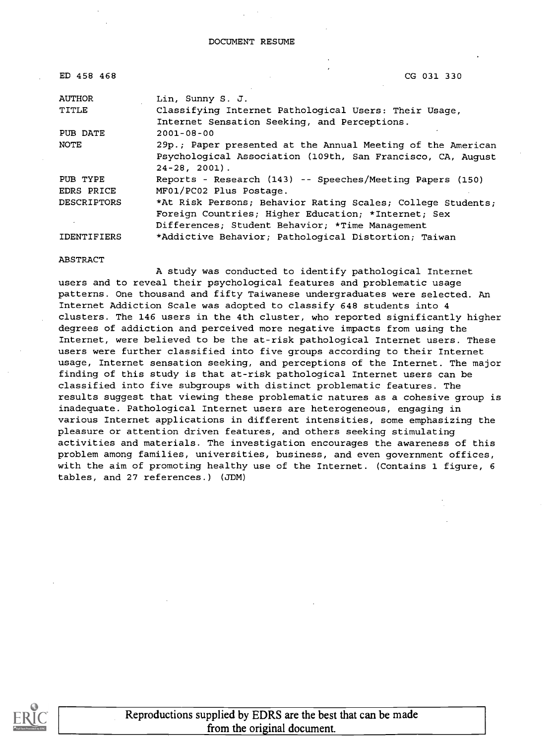| CG 031 330                                                  |
|-------------------------------------------------------------|
| Lin, Sunny S. J.                                            |
| Classifying Internet Pathological Users: Their Usage,       |
| Internet Sensation Seeking, and Perceptions.                |
| $2001 - 08 - 00$                                            |
| 29p.; Paper presented at the Annual Meeting of the American |
| Psychological Association (109th, San Francisco, CA, August |
| $24 - 28$ , 2001).                                          |
| Reports - Research (143) -- Speeches/Meeting Papers (150)   |
| MF01/PC02 Plus Postage.                                     |
| *At Risk Persons; Behavior Rating Scales; College Students; |
| Foreign Countries; Higher Education; *Internet; Sex         |
| Differences; Student Behavior; *Time Management             |
| *Addictive Behavior; Pathological Distortion; Taiwan        |
|                                                             |

#### ABSTRACT

A study was conducted to identify pathological Internet users and to reveal their psychological features and problematic usage patterns. One thousand and fifty Taiwanese undergraduates were selected. An Internet Addiction Scale was adopted to classify 648 students into 4 clusters. The 146 users in the 4th cluster, who reported significantly higher degrees of addiction and perceived more negative impacts from using the Internet, were believed to be the at-risk pathological Internet users. These users were further classified into five groups according to their Internet usage, Internet sensation seeking, and perceptions of the Internet. The major finding of this study is that at-risk pathological Internet users can be classified into five subgroups with distinct problematic features. The results suggest that viewing these problematic natures as a cohesive group is inadequate. Pathological Internet users are heterogeneous, engaging in various Internet applications in different intensities, some emphasizing the pleasure or attention driven features, and others seeking stimulating activities and materials. The investigation encourages the awareness of this problem among families, universities, business, and even government offices, with the aim of promoting healthy use of the Internet. (Contains 1 figure, 6 tables, and 27 references.) (JDM)



Reproductions supplied by EDRS are the best that can be made from the original document.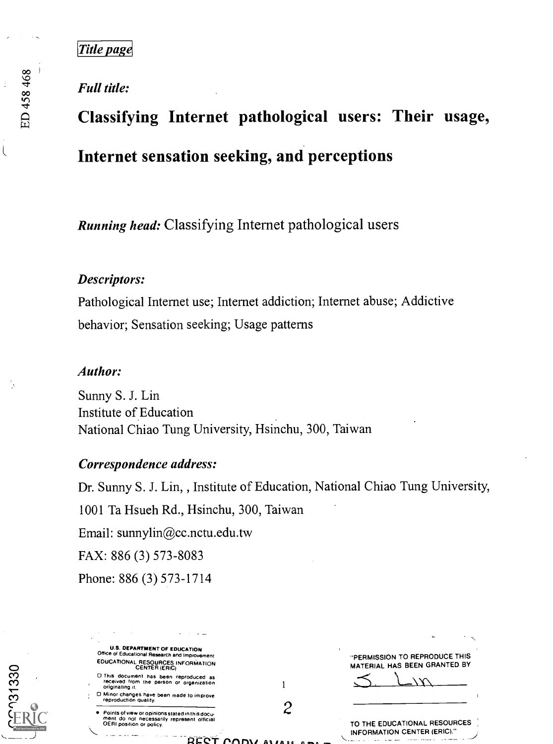# Full title:

# Classifying Internet pathological users: Their usage, Internet sensation seeking, and perceptions

Running head: Classifying Internet pathological users

## Descriptors:

Pathological Internet use; Internet addiction; Internet abuse; Addictive behavior; Sensation seeking; Usage patterns

### Author:

Sunny S. J. Lin Institute of Education National Chiao Tung University, Hsinchu, 300, Taiwan

# Correspondence address:

Dr. Sunny S. J. Lin, , Institute of Education, National Chiao Tung University, 1001 Ta Hsueh Rd., Hsinchu, 300, Taiwan Email: sunnylin@cc.nctu.edu.tw FAX: 886 (3) 573-8083 Phone: 886 (3) 573-1714

U.S. DEPARTMENT OF EDUCATION Office of Educational Research and Improvement EDUCATIONAL RESOURCES INFORMATION CENTER (ERIC) O This document has been reproduced as received from the person or organization originating it. O Minor changes have been made to improve reproduction quality. Points of view or opinions stated in this docu-ment do not necessarily represent official OERI position or policy. 12  $-$ "PERMISSION TO REPRODUCE THIS MATERIAL HAS BEEN GRANTED BY TO THE EDUCATIONAL RESOURCES INFORMATION CENTER (ERIC)."

 $\overline{\mathcal{L}}$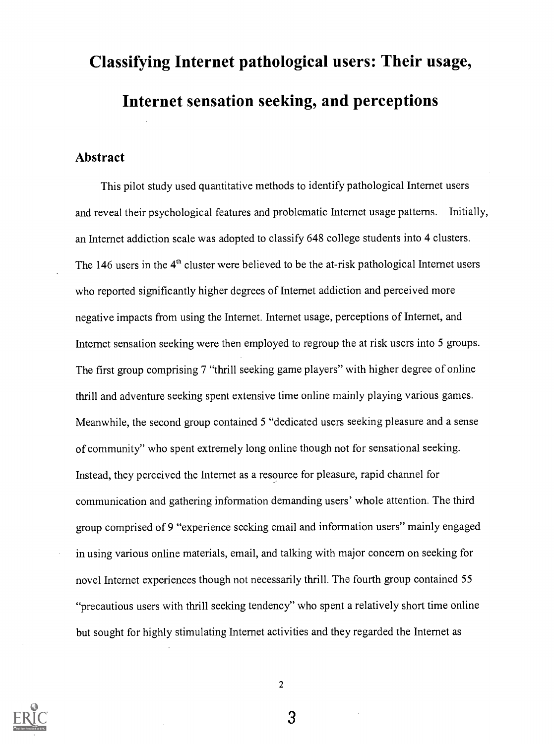# Classifying Internet pathological users: Their usage, Internet sensation seeking, and perceptions

#### Abstract

This pilot study used quantitative methods to identify pathological Internet users and reveal their psychological features and problematic Internet usage patterns. Initially, an Internet addiction scale was adopted to classify 648 college students into 4 clusters. The 146 users in the  $4<sup>th</sup>$  cluster were believed to be the at-risk pathological Internet users who reported significantly higher degrees of Internet addiction and perceived more negative impacts from using the Internet. Internet usage, perceptions of Internet, and Internet sensation seeking were then employed to regroup the at risk users into 5 groups. The first group comprising 7 "thrill seeking game players" with higher degree of online thrill and adventure seeking spent extensive time online mainly playing various games. Meanwhile, the second group contained 5 "dedicated users seeking pleasure and a sense of community" who spent extremely long online though not for sensational seeking. Instead, they perceived the Internet as a resource for pleasure, rapid channel for communication and gathering information demanding users' whole attention. The third group comprised of 9 "experience seeking email and information users" mainly engaged in using various online materials, email, and talking with major concern on seeking for novel Internet experiences though not necessarily thrill. The fourth group contained 55 "precautious users with thrill seeking tendency" who spent a relatively short time online but sought for highly stimulating Internet activities and they regarded the Internet as

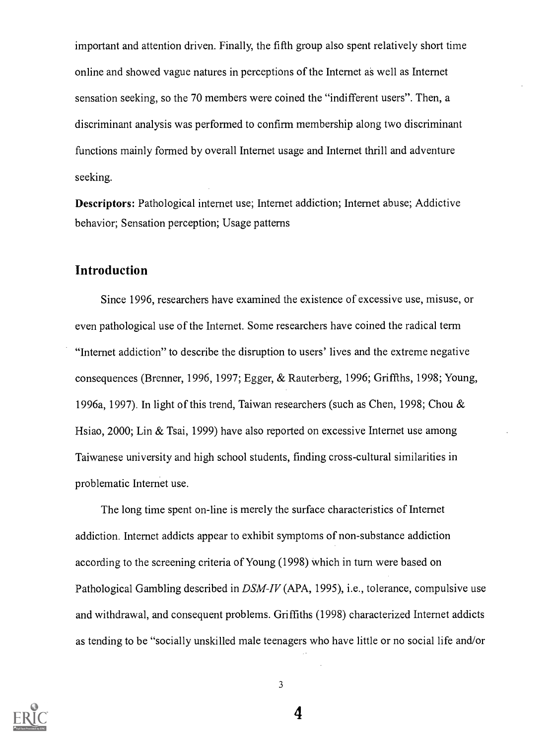important and attention driven. Finally, the fifth group also spent relatively short time online and showed vague natures in perceptions of the Internet as well as Internet sensation seeking, so the 70 members were coined the "indifferent users". Then, a discriminant analysis was performed to confirm membership along two discriminant functions mainly formed by overall Internet usage and Internet thrill and adventure seeking.

Descriptors: Pathological internet use; Internet addiction; Internet abuse; Addictive behavior; Sensation perception; Usage patterns

## Introduction

Since 1996, researchers have examined the existence of excessive use, misuse, or even pathological use of the Internet. Some researchers have coined the radical term "Internet addiction" to describe the disruption to users' lives and the extreme negative consequences (Bremer, 1996, 1997; Egger, & Rauterberg, 1996; Griffths, 1998; Young, 1996a, 1997). In light of this trend, Taiwan researchers (such as Chen, 1998; Chou & Hsiao, 2000; Lin & Tsai, 1999) have also reported on excessive Internet use among Taiwanese university and high school students, finding cross-cultural similarities in problematic Internet use.

The long time spent on-line is merely the surface characteristics of Internet addiction. Internet addicts appear to exhibit symptoms of non-substance addiction according to the screening criteria of Young (1998) which in turn were based on Pathological Gambling described in DSM-IV (APA, 1995), i.e., tolerance, compulsive use and withdrawal, and consequent problems. Griffiths (1998) characterized Internet addicts as tending to be "socially unskilled male teenagers who have little or no social life and/or



3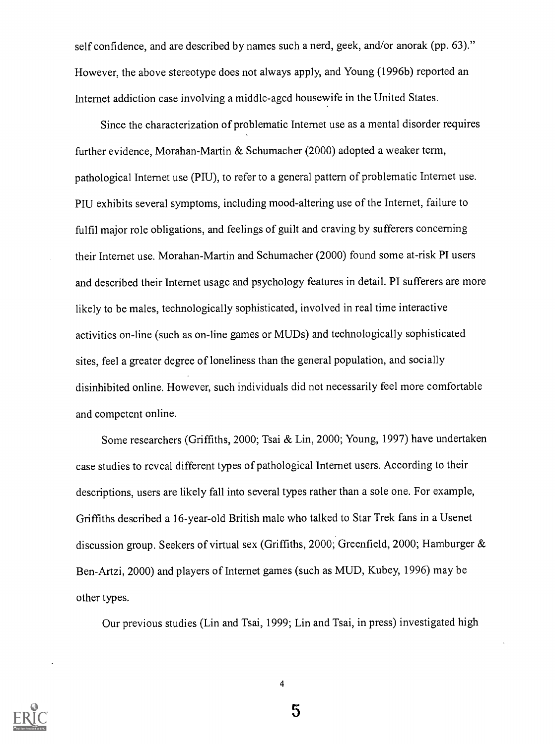self confidence, and are described by names such a nerd, geek, and/or anorak (pp. 63)." However, the above stereotype does not always apply, and Young (1996b) reported an Internet addiction case involving a middle-aged housewife in the United States.

Since the characterization of problematic Internet use as a mental disorder requires further evidence, Morahan-Martin & Schumacher (2000) adopted a weaker term, pathological Internet use (PIU), to refer to a general pattern of problematic Internet use. PIU exhibits several symptoms, including mood-altering use of the Internet, failure to fulfil major role obligations, and feelings of guilt and craving by sufferers concerning their Internet use. Morahan-Martin and Schumacher (2000) found some at-risk PI users and described their Internet usage and psychology features in detail. PI sufferers are more likely to be males, technologically sophisticated, involved in real time interactive activities on-line (such as on-line games or MUDs) and technologically sophisticated sites, feel a greater degree of loneliness than the general population, and socially disinhibited online. However, such individuals did not necessarily feel more comfortable and competent online.

Some researchers (Griffiths, 2000; Tsai & Lin, 2000; Young, 1997) have undertaken case studies to reveal different types of pathological Internet users. According to their descriptions, users are likely fall into several types rather than a sole one. For example, Griffiths described a 16-year-old British male who talked to Star Trek fans in a Usenet discussion group. Seekers of virtual sex (Griffiths, 2000; Greenfield, 2000; Hamburger & Ben-Artzi, 2000) and players of Internet games (such as MUD, Kubey, 1996) may be other types.

Our previous studies (Lin and Tsai, 1999; Lin and Tsai, in press) investigated high



4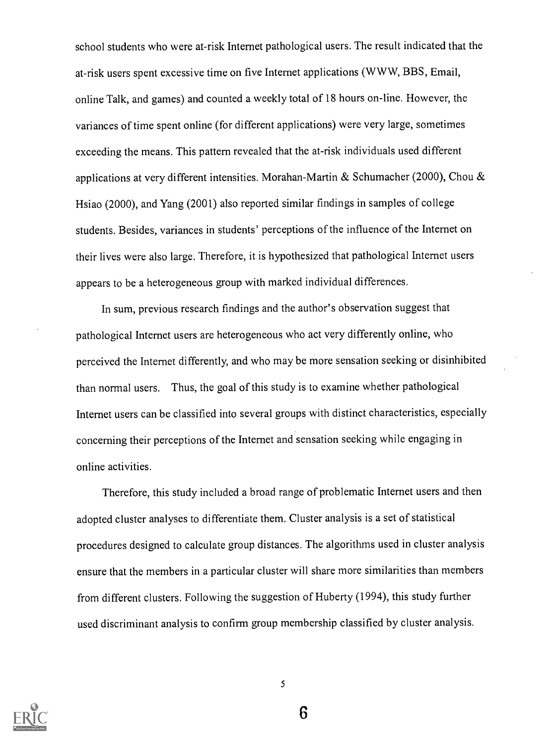school students who were at-risk Internet pathological users. The result indicated that the at-risk users spent excessive time on five Internet applications (WWW, BBS, Email, online Talk, and games) and counted a weekly total of 18 hours on-line. However, the variances of time spent online (for different applications) were very large, sometimes exceeding the means. This pattern revealed that the at-risk individuals used different applications at very different intensities. Morahan-Martin & Schumacher (2000), Chou & Hsiao (2000), and Yang (2001) also reported similar findings in samples of college students. Besides, variances in students' perceptions of the influence of the Internet on their lives were also large. Therefore, it is hypothesized that pathological Internet users appears to be a heterogeneous group with marked individual differences.

In sum, previous research findings and the author's observation suggest that pathological Internet users are heterogeneous who act very differently online, who perceived the Internet differently, and who may be more sensation seeking or disinhibited than normal users. Thus, the goal of this study is to examine whether pathological Internet users can be classified into several groups with distinct characteristics, especially concerning their perceptions of the Internet and sensation seeking while engaging in online activities.

Therefore, this study included a broad range of problematic Internet users and then adopted cluster analyses to differentiate them. Cluster analysis is a set of statistical procedures designed to calculate group distances. The algorithms used in cluster analysis ensure that the members in a particular cluster will share more similarities than members from different clusters. Following the suggestion of Huberty (1994), this study further used discriminant analysis to confirm group membership classified by cluster analysis.



5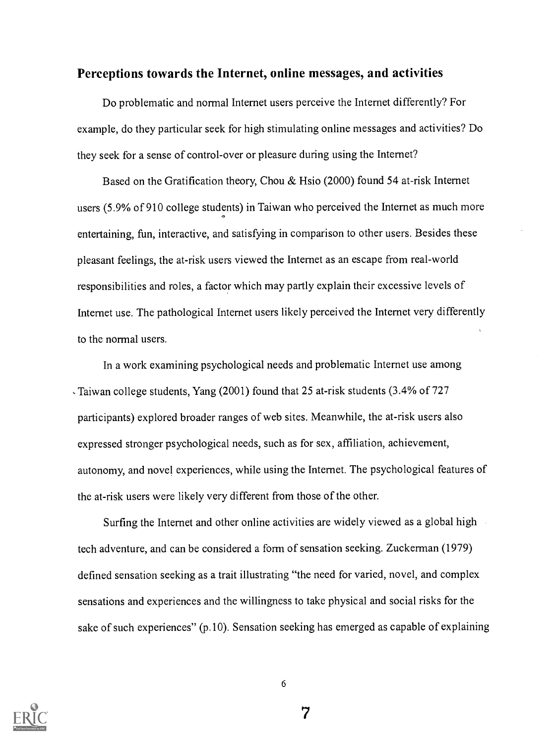#### Perceptions towards the Internet, online messages, and activities

Do problematic and normal Internet users perceive the Internet differently? For example, do they particular seek for high stimulating online messages and activities? Do they seek for a sense of control-over or pleasure during using the Internet?

Based on the Gratification theory, Chou & Hsio (2000) found 54 at-risk Internet users (5.9% of 910 college students) in Taiwan who perceived the Internet as much more entertaining, fun, interactive, and satisfying in comparison to other users. Besides these pleasant feelings, the at-risk users viewed the Internet as an escape from real-world responsibilities and roles, a factor which may partly explain their excessive levels of Internet use. The pathological Internet users likely perceived the Internet very differently to the normal users.

In a work examining psychological needs and problematic Internet use among Taiwan college students, Yang (2001) found that 25 at-risk students (3.4% of 727 participants) explored broader ranges of web sites. Meanwhile, the at-risk users also expressed stronger psychological needs, such as for sex, affiliation, achievement, autonomy, and novel experiences, while using the Internet. The psychological features of the at-risk users were likely very different from those of the other.

Surfing the Internet and other online activities are widely viewed as a global high tech adventure, and can be considered a form of sensation seeking. Zuckerman (1979) defined sensation seeking as a trait illustrating "the need for varied, novel, and complex sensations and experiences and the willingness to take physical and social risks for the sake of such experiences" (p.10). Sensation seeking has emerged as capable of explaining

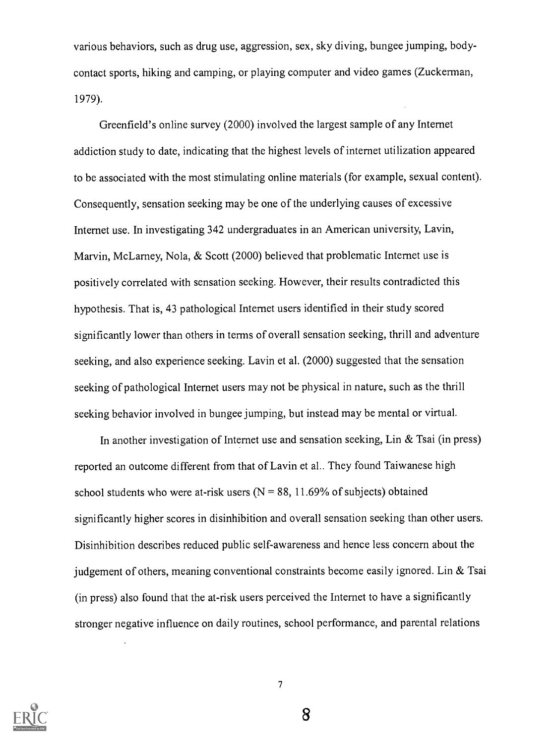various behaviors, such as drug use, aggression, sex, sky diving, bungee jumping, bodycontact sports, hiking and camping, or playing computer and video games (Zuckerman, 1979).

Greenfield's online survey (2000) involved the largest sample of any Internet addiction study to date, indicating that the highest levels of internet utilization appeared to be associated with the most stimulating online materials (for example, sexual content). Consequently, sensation seeking may be one of the underlying causes of excessive Internet use. In investigating 342 undergraduates in an American university, Lavin, Marvin, McLarney, Nola, & Scott (2000) believed that problematic Internet use is positively correlated with sensation seeking. However, their results contradicted this hypothesis. That is, 43 pathological Internet users identified in their study scored significantly lower than others in terms of overall sensation seeking, thrill and adventure seeking, and also experience seeking. Lavin et al. (2000) suggested that the sensation seeking of pathological Internet users may not be physical in nature, such as the thrill seeking behavior involved in bungee jumping, but instead may be mental or virtual.

In another investigation of Internet use and sensation seeking, Lin & Tsai (in press) reported an outcome different from that of Lavin et al.. They found Taiwanese high school students who were at-risk users  $(N = 88, 11.69\%$  of subjects) obtained significantly higher scores in disinhibition and overall sensation seeking than other users. Disinhibition describes reduced public self-awareness and hence less concern about the judgement of others, meaning conventional constraints become easily ignored. Lin  $&$  Tsai (in press) also found that the at-risk users perceived the Internet to have a significantly stronger negative influence on daily routines, school performance, and parental relations



7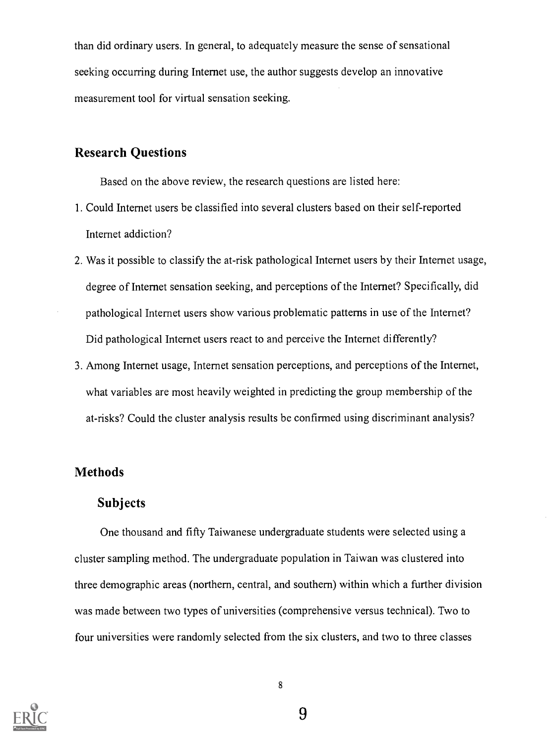than did ordinary users. In general, to adequately measure the sense of sensational seeking occurring during Internet use, the author suggests develop an innovative measurement tool for virtual sensation seeking.

## Research Questions

Based on the above review, the research questions are listed here:

- 1. Could Internet users be classified into several clusters based on their self-reported Internet addiction?
- 2. Was it possible to classify the at-risk pathological Internet users by their Internet usage, degree of Internet sensation seeking, and perceptions of the Internet? Specifically, did pathological Internet users show various problematic patterns in use of the Internet? Did pathological Internet users react to and perceive the Internet differently?
- 3. Among Internet usage, Internet sensation perceptions, and perceptions of the Internet, what variables are most heavily weighted in predicting the group membership of the at-risks? Could the cluster analysis results be confirmed using discriminant analysis?

# Methods

#### Subjects

One thousand and fifty Taiwanese undergraduate students were selected using a cluster sampling method. The undergraduate population in Taiwan was clustered into three demographic areas (northern, central, and southern) within which a further division was made between two types of universities (comprehensive versus technical). Two to four universities were randomly selected from the six clusters, and two to three classes

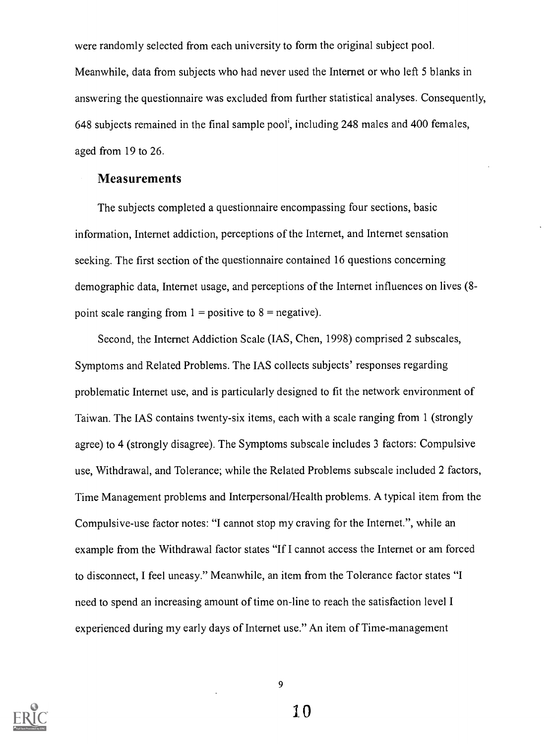were randomly selected from each university to form the original subject pool. Meanwhile, data from subjects who had never used the Internet or who left 5 blanks in answering the questionnaire was excluded from further statistical analyses. Consequently, 648 subjects remained in the final sample pool', including 248 males and 400 females, aged from 19 to 26.

#### **Measurements**

The subjects completed a questionnaire encompassing four sections, basic information, Internet addiction, perceptions of the Internet, and Internet sensation seeking. The first section of the questionnaire contained 16 questions concerning demographic data, Internet usage, and perceptions of the Internet influences on lives (8 point scale ranging from  $1 =$  positive to  $8 =$  negative).

Second, the Internet Addiction Scale (IAS, Chen, 1998) comprised 2 subscales, Symptoms and Related Problems. The IAS collects subjects' responses regarding problematic Internet use, and is particularly designed to fit the network environment of Taiwan. The IAS contains twenty-six items, each with a scale ranging from 1 (strongly agree) to 4 (strongly disagree). The Symptoms subscale includes 3 factors: Compulsive use, Withdrawal, and Tolerance; while the Related Problems subscale included 2 factors, Time Management problems and Interpersonal/Health problems. A typical item from the Compulsive-use factor notes: "I cannot stop my craving for the Internet.", while an example from the Withdrawal factor states "If I cannot access the Internet or am forced to disconnect, I feel uneasy." Meanwhile, an item from the Tolerance factor states "I need to spend an increasing amount of time on-line to reach the satisfaction level I experienced during my early days of Internet use." An item of Time-management

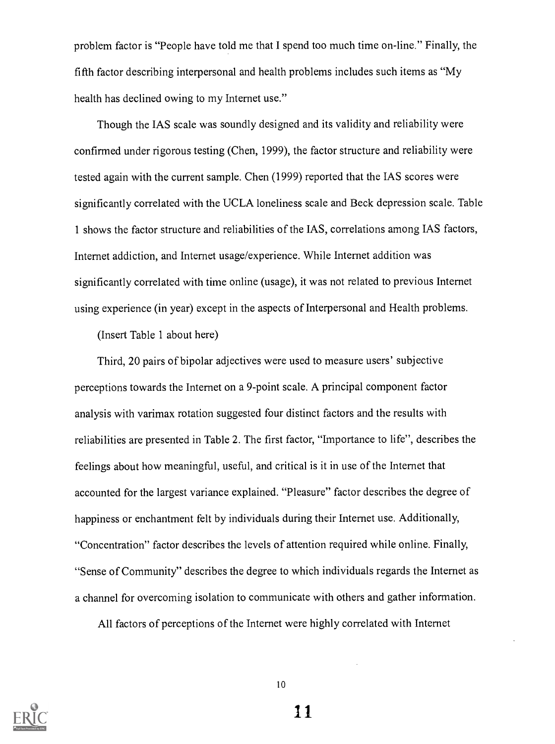problem factor is "People have told me that I spend too much time on-line." Finally, the fifth factor describing interpersonal and health problems includes such items as "My health has declined owing to my Internet use."

Though the IAS scale was soundly designed and its validity and reliability were confirmed under rigorous testing (Chen, 1999), the factor structure and reliability were tested again with the current sample. Chen (1999) reported that the IAS scores were significantly correlated with the UCLA loneliness scale and Beck depression scale. Table 1 shows the factor structure and reliabilities of the IAS, correlations among IAS factors, Internet addiction, and Internet usage/experience. While Internet addition was significantly correlated with time online (usage), it was not related to previous Internet using experience (in year) except in the aspects of Interpersonal and Health problems.

(Insert Table 1 about here)

Third, 20 pairs of bipolar adjectives were used to measure users' subjective perceptions towards the Internet on a 9-point scale. A principal component factor analysis with varimax rotation suggested four distinct factors and the results with reliabilities are presented in Table 2. The first factor, "Importance to life", describes the feelings about how meaningful, useful, and critical is it in use of the Internet that accounted for the largest variance explained. "Pleasure" factor describes the degree of happiness or enchantment felt by individuals during their Internet use. Additionally, "Concentration" factor describes the levels of attention required while online. Finally, "Sense of Community" describes the degree to which individuals regards the Internet as a channel for overcoming isolation to communicate with others and gather information.

All factors of perceptions of the Internet were highly correlated with Internet

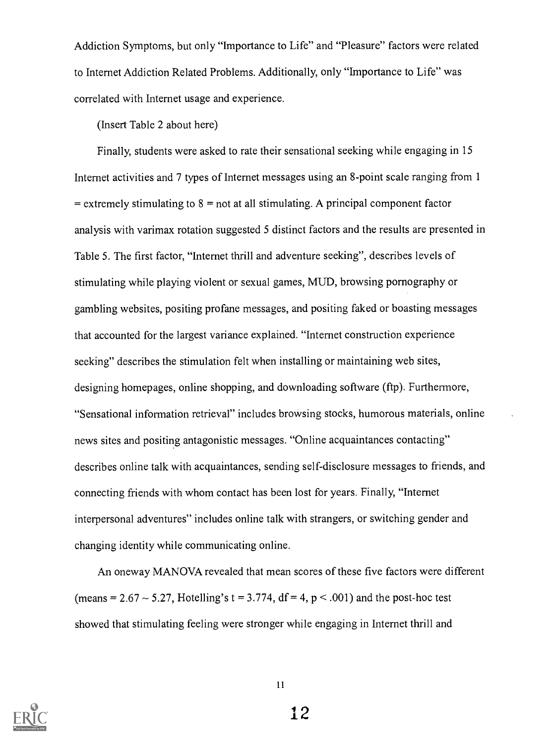Addiction Symptoms, but only "Importance to Life" and "Pleasure" factors were related to Internet Addiction Related Problems. Additionally, only "Importance to Life" was correlated with Internet usage and experience.

(Insert Table 2 about here)

Finally, students were asked to rate their sensational seeking while engaging in 15 Internet activities and 7 types of Internet messages using an 8-point scale ranging from 1  $=$  extremely stimulating to  $8 =$  not at all stimulating. A principal component factor analysis with varimax rotation suggested 5 distinct factors and the results are presented in Table 5. The first factor, "Internet thrill and adventure seeking", describes levels of stimulating while playing violent or sexual games, MUD, browsing pornography or gambling websites, positing profane messages, and positing faked or boasting messages that accounted for the largest variance explained. "Internet construction experience seeking" describes the stimulation felt when installing or maintaining web sites, designing homepages, online shopping, and downloading software (ftp). Furthermore, "Sensational information retrieval" includes browsing stocks, humorous materials, online news sites and positing antagonistic messages. "Online acquaintances contacting" describes online talk with acquaintances, sending self-disclosure messages to friends, and connecting friends with whom contact has been lost for years. Finally, "Internet interpersonal adventures" includes online talk with strangers, or switching gender and changing identity while communicating online.

An oneway MANOVA revealed that mean scores of these five factors were different (means =  $2.67 \sim 5.27$ , Hotelling's t = 3.774, df = 4, p < .001) and the post-hoc test showed that stimulating feeling were stronger while engaging in Internet thrill and

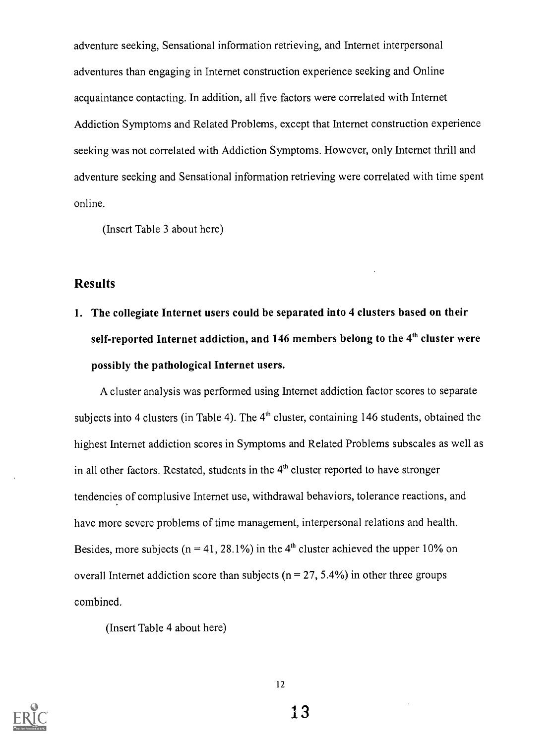adventure seeking, Sensational information retrieving, and Internet interpersonal adventures than engaging in Internet construction experience seeking and Online acquaintance contacting. In addition, all five factors were correlated with Internet Addiction Symptoms and Related Problems, except that Internet construction experience seeking was not correlated with Addiction Symptoms. However, only Internet thrill and adventure seeking and Sensational information retrieving were correlated with time spent online.

(Insert Table 3 about here)

## Results

1. The collegiate Internet users could be separated into 4 clusters based on their self-reported Internet addiction, and 146 members belong to the 4<sup>th</sup> cluster were possibly the pathological Internet users.

A cluster analysis was performed using Internet addiction factor scores to separate subjects into 4 clusters (in Table 4). The  $4<sup>th</sup>$  cluster, containing 146 students, obtained the highest Internet addiction scores in Symptoms and Related Problems subscales as well as in all other factors. Restated, students in the  $4<sup>th</sup>$  cluster reported to have stronger tendencies of complusive Internet use, withdrawal behaviors, tolerance reactions, and have more severe problems of time management, interpersonal relations and health. Besides, more subjects ( $n = 41, 28.1\%$ ) in the 4<sup>th</sup> cluster achieved the upper 10% on overall Internet addiction score than subjects ( $n = 27, 5.4\%$ ) in other three groups combined.

(Insert Table 4 about here)

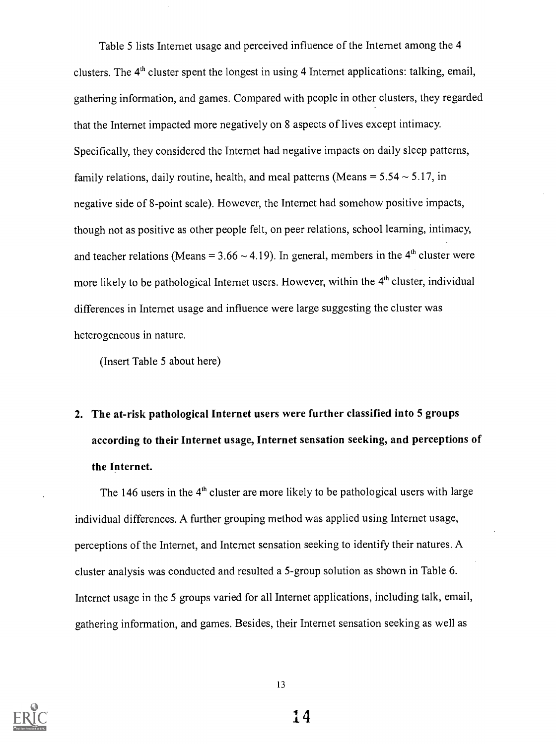Table 5 lists Internet usage and perceived influence of the Internet among the 4 clusters. The 4<sup>th</sup> cluster spent the longest in using 4 Internet applications: talking, email, gathering information, and games. Compared with people in other clusters, they regarded that the Internet impacted more negatively on 8 aspects of lives except intimacy. Specifically, they considered the Internet had negative impacts on daily sleep patterns, family relations, daily routine, health, and meal patterns (Means =  $5.54 \sim 5.17$ , in negative side of 8-point scale). However, the Internet had somehow positive impacts, though not as positive as other people felt, on peer relations, school learning, intimacy, and teacher relations (Means =  $3.66 \sim 4.19$ ). In general, members in the 4<sup>th</sup> cluster were more likely to be pathological Internet users. However, within the 4<sup>th</sup> cluster, individual differences in Internet usage and influence were large suggesting the cluster was heterogeneous in nature.

(Insert Table 5 about here)

# 2. The at-risk pathological Internet users were further classified into 5 groups according to their Internet usage, Internet sensation seeking, and perceptions of the Internet.

The 146 users in the  $4<sup>th</sup>$  cluster are more likely to be pathological users with large individual differences. A further grouping method was applied using Internet usage, perceptions of the Internet, and Internet sensation seeking to identify their natures. A cluster analysis was conducted and resulted a 5-group solution as shown in Table 6. Internet usage in the 5 groups varied for all Internet applications, including talk, email, gathering information, and games. Besides, their Internet sensation seeking as well as

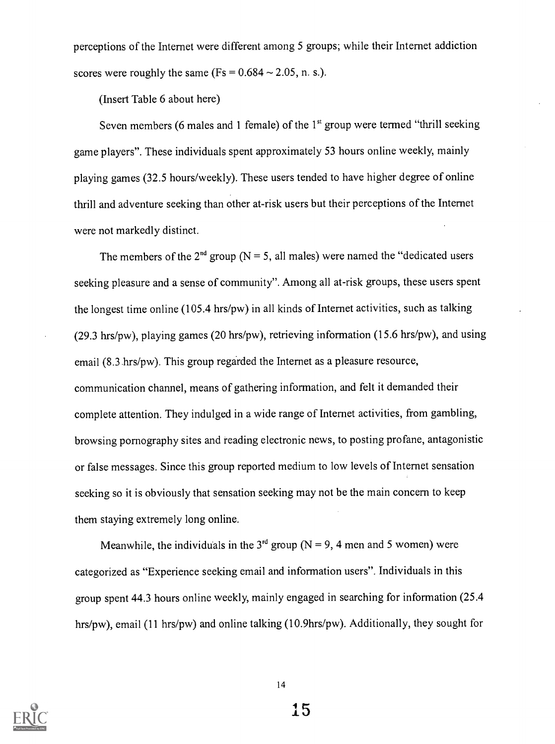perceptions of the Internet were different among 5 groups; while their Internet addiction scores were roughly the same  $(Fs = 0.684 \sim 2.05, n. s.).$ 

(Insert Table 6 about here)

Seven members (6 males and 1 female) of the  $1<sup>st</sup>$  group were termed "thrill seeking game players". These individuals spent approximately 53 hours online weekly, mainly playing games (32.5 hours/weekly). These users tended to have higher degree of online thrill and adventure seeking than other at-risk users but their perceptions of the Internet were not markedly distinct.

The members of the  $2<sup>nd</sup>$  group (N = 5, all males) were named the "dedicated users seeking pleasure and a sense of community". Among all at-risk groups, these users spent the longest time online (105.4 hrs/pw) in all kinds of Internet activities, such as talking (29.3 hrs/pw), playing games (20 hrs/pw), retrieving information (15.6 hrs/pw), and using email (8.3 hrs/pw). This group regarded the Internet as a pleasure resource, communication channel, means of gathering information, and felt it demanded their complete attention. They indulged in a wide range of Internet activities, from gambling, browsing pornography sites and reading electronic news, to posting profane, antagonistic or false messages. Since this group reported medium to low levels of Internet sensation seeking so it is obviously that sensation seeking may not be the main concern to keep them staying extremely long online.

Meanwhile, the individuals in the 3<sup>rd</sup> group (N = 9, 4 men and 5 women) were categorized as "Experience seeking email and information users". Individuals in this group spent 44.3 hours online weekly, mainly engaged in searching for information (25.4 hrs/pw), email (11 hrs/pw) and online talking (10.9hrs/pw). Additionally, they sought for

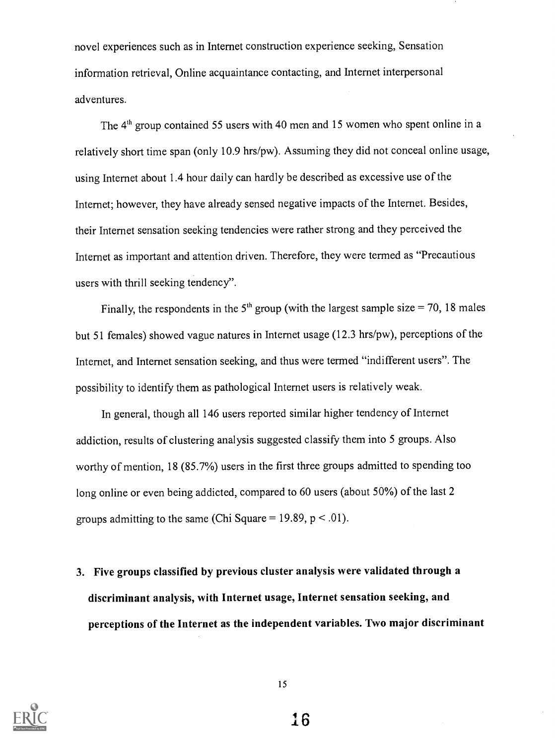novel experiences such as in Internet construction experience seeking, Sensation information retrieval, Online acquaintance contacting, and Internet interpersonal adventures.

The 4<sup>th</sup> group contained 55 users with 40 men and 15 women who spent online in a relatively short time span (only 10.9 hrs/pw). Assuming they did not conceal online usage, using Internet about 1.4 hour daily can hardly be described as excessive use of the Internet; however, they have already sensed negative impacts of the Internet. Besides, their Internet sensation seeking tendencies were rather strong and they perceived the Internet as important and attention driven. Therefore, they were termed as "Precautious users with thrill seeking tendency".

Finally, the respondents in the  $5<sup>th</sup>$  group (with the largest sample size = 70, 18 males but 51 females) showed vague natures in Internet usage (12.3 hrs/pw), perceptions of the Internet, and Internet sensation seeking, and thus were termed "indifferent users". The possibility to identify them as pathological Internet users is relatively weak.

In general, though all 146 users reported similar higher tendency of Internet addiction, results of clustering analysis suggested classify them into 5 groups. Also worthy of mention, 18 (85.7%) users in the first three groups admitted to spending too long online or even being addicted, compared to 60 users (about 50%) of the last 2 groups admitting to the same (Chi Square = 19.89,  $p < .01$ ).

3. Five groups classified by previous cluster analysis were validated through a discriminant analysis, with Internet usage, Internet sensation seeking, and perceptions of the Internet as the independent variables. Two major discriminant

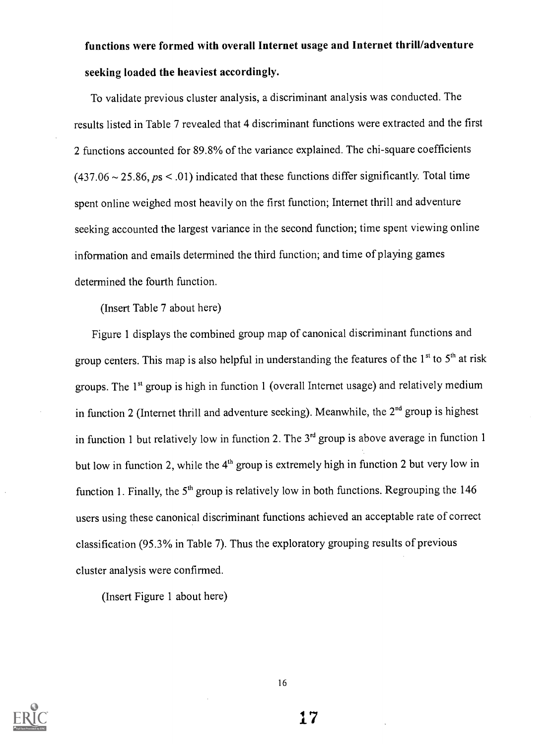# functions were formed with overall Internet usage and Internet thrill/adventure seeking loaded the heaviest accordingly.

To validate previous cluster analysis, a discriminant analysis was conducted. The results listed in Table 7 revealed that 4 discriminant functions were extracted and the first 2 functions accounted for 89.8% of the variance explained. The chi-square coefficients  $(437.06 \sim 25.86, \text{ps} \leq .01)$  indicated that these functions differ significantly. Total time spent online weighed most heavily on the first function; Internet thrill and adventure seeking accounted the largest variance in the second function; time spent viewing online information and emails determined the third function; and time of playing games determined the fourth function.

(Insert Table 7 about here)

Figure 1 displays the combined group map of canonical discriminant functions and group centers. This map is also helpful in understanding the features of the  $1<sup>st</sup>$  to  $5<sup>th</sup>$  at risk groups. The 1<sup>st</sup> group is high in function 1 (overall Internet usage) and relatively medium in function 2 (Internet thrill and adventure seeking). Meanwhile, the  $2<sup>nd</sup>$  group is highest in function 1 but relatively low in function 2. The  $3<sup>rd</sup>$  group is above average in function 1 but low in function 2, while the  $4<sup>th</sup>$  group is extremely high in function 2 but very low in function 1. Finally, the  $5<sup>th</sup>$  group is relatively low in both functions. Regrouping the 146 users using these canonical discriminant functions achieved an acceptable rate of correct classification (95.3% in Table 7). Thus the exploratory grouping results of previous cluster analysis were confirmed.

(Insert Figure 1 about here)

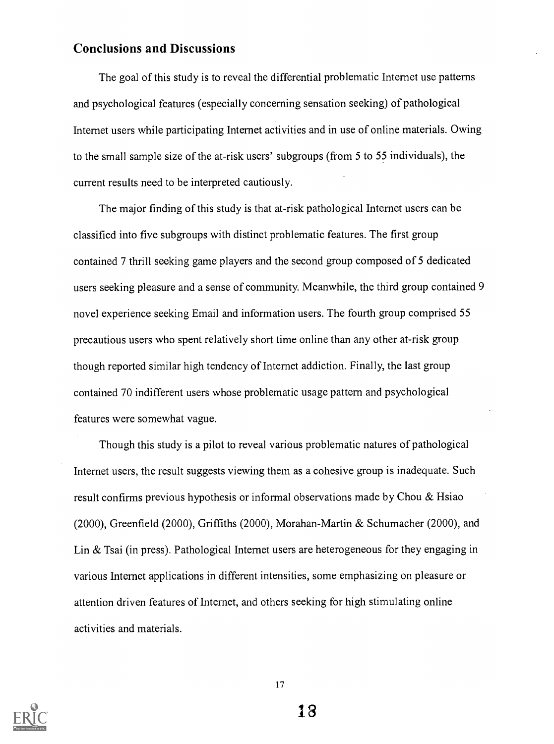#### Conclusions and Discussions

The goal of this study is to reveal the differential problematic Internet use patterns and psychological features (especially concerning sensation seeking) of pathological Internet users while participating Internet activities and in use of online materials. Owing to the small sample size of the at-risk users' subgroups (from 5 to 55 individuals), the current results need to be interpreted cautiously.

The major finding of this study is that at-risk pathological Internet users can be classified into five subgroups with distinct problematic features. The first group contained 7 thrill seeking game players and the second group composed of 5 dedicated users seeking pleasure and a sense of community. Meanwhile, the third group contained 9 novel experience seeking Email and information users. The fourth group comprised 55 precautious users who spent relatively short time online than any other at-risk group though reported similar high tendency of Internet addiction. Finally, the last group contained 70 indifferent users whose problematic usage pattern and psychological features were somewhat vague.

Though this study is a pilot to reveal various problematic natures of pathological Internet users, the result suggests viewing them as a cohesive group is inadequate. Such result confirms previous hypothesis or informal observations made by Chou & Hsiao (2000), Greenfield (2000), Griffiths (2000), Morahan-Martin & Schumacher (2000), and Lin & Tsai (in press). Pathological Internet users are heterogeneous for they engaging in various Internet applications in different intensities, some emphasizing on pleasure or attention driven features of Internet, and others seeking for high stimulating online activities and materials.



1 7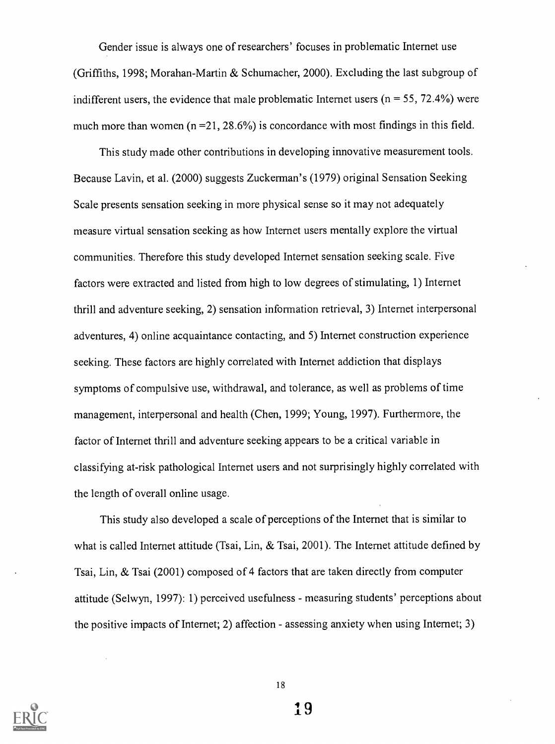Gender issue is always one of researchers' focuses in problematic Internet use (Griffiths, 1998; Morahan-Martin & Schumacher, 2000). Excluding the last subgroup of indifferent users, the evidence that male problematic Internet users ( $n = 55$ , 72.4%) were much more than women  $(n = 21, 28.6\%)$  is concordance with most findings in this field.

This study made other contributions in developing innovative measurement tools. Because Lavin, et al. (2000) suggests Zuckerman's (1979) original Sensation Seeking Scale presents sensation seeking in more physical sense so it may not adequately measure virtual sensation seeking as how Internet users mentally explore the virtual communities. Therefore this study developed Internet sensation seeking scale. Five factors were extracted and listed from high to low degrees of stimulating, 1) Internet thrill and adventure seeking, 2) sensation information retrieval, 3) Internet interpersonal adventures, 4) online acquaintance contacting, and 5) Internet construction experience seeking. These factors are highly correlated with Internet addiction that displays symptoms of compulsive use, withdrawal, and tolerance, as well as problems of time management, interpersonal and health (Chen, 1999; Young, 1997). Furthermore, the factor of Internet thrill and adventure seeking appears to be a critical variable in classifying at-risk pathological Internet users and not surprisingly highly correlated with the length of overall online usage.

This study also developed a scale of perceptions of the Internet that is similar to what is called Internet attitude (Tsai, Lin, & Tsai, 2001). The Internet attitude defined by Tsai, Lin, & Tsai (2001) composed of 4 factors that are taken directly from computer attitude (Selwyn, 1997): 1) perceived usefulness - measuring students' perceptions about the positive impacts of Internet; 2) affection - assessing anxiety when using Internet; 3)

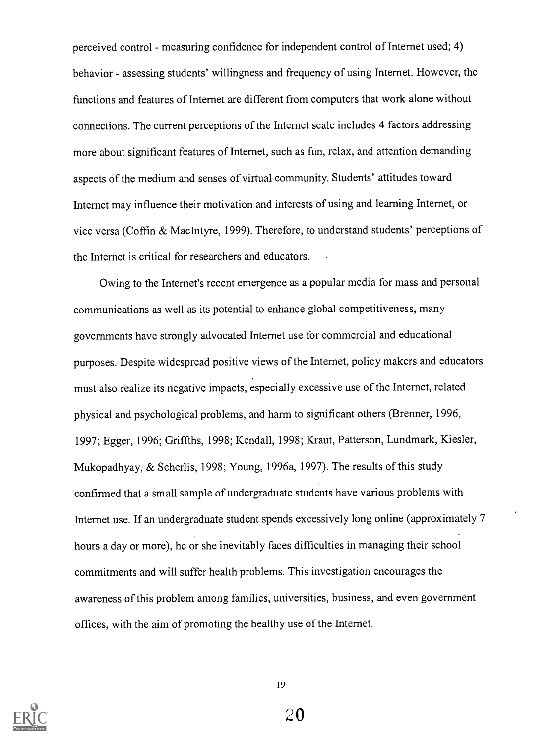perceived control - measuring confidence for independent control of Internet used; 4) behavior - assessing students' willingness and frequency of using Internet. However, the functions and features of Internet are different from computers that work alone without connections. The current perceptions of the Internet scale includes 4 factors addressing more about significant features of Internet, such as fun, relax, and attention demanding aspects of the medium and senses of virtual community. Students' attitudes toward Internet may influence their motivation and interests of using and learning Internet, or vice versa (Coffin & MacIntyre, 1999). Therefore, to understand students' perceptions of the Internet is critical for researchers and educators.

Owing to the Internet's recent emergence as a popular media for mass and personal communications as well as its potential to enhance global competitiveness, many governments have strongly advocated Internet use for commercial and educational purposes. Despite widespread positive views of the Internet, policy makers and educators must also realize its negative impacts, especially excessive use of the Internet, related physical and psychological problems, and harm to significant others (Brenner, 1996, 1997; Egger, 1996; Griffths, 1998; Kendall, 1998; Kraut, Patterson, Lundmark, Kiesler, Mukopadhyay, & Scherlis, 1998; Young, 1996a, 1997). The results of this study confirmed that a small sample of undergraduate students have various problems with Internet use. If an undergraduate student spends excessively long online (approximately 7 hours a day or more), he or she inevitably faces difficulties in managing their school commitments and will suffer health problems. This investigation encourages the awareness of this problem among families, universities, business, and even government offices, with the aim of promoting the healthy use of the Internet.

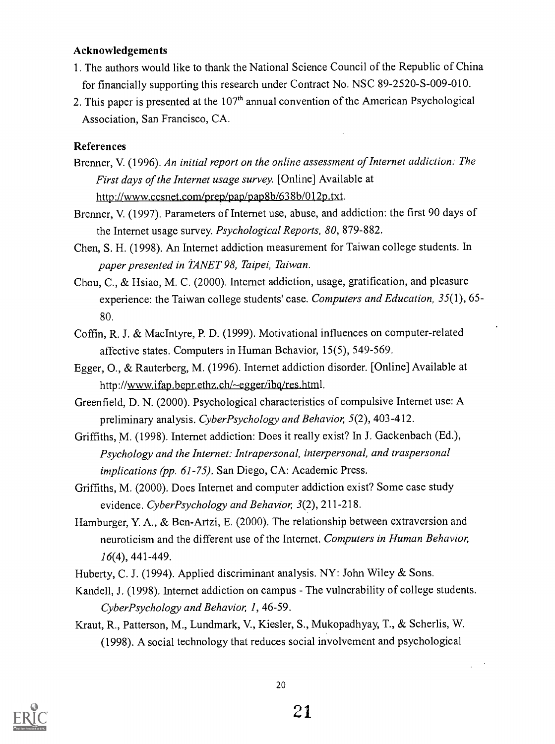#### Acknowledgements

- 1. The authors would like to thank the National Science Council of the Republic of China for financially supporting this research under Contract No. NSC 89-2520-S-009-010.
- 2. This paper is presented at the  $107<sup>th</sup>$  annual convention of the American Psychological Association, San Francisco, CA.

#### References

- Brenner, V. (1996). An initial report on the online assessment of Internet addiction: The First days of the Internet usage survey. [Online] Available at http://www.ccsnet.com/prep/pap/pap8b/638b/012p.txt.
- Brenner, V. (1997). Parameters of Internet use, abuse, and addiction: the first 90 days of the Internet usage survey. Psychological Reports, 80, 879-882.
- Chen, S. H. (1998). An Internet addiction measurement for Taiwan college students. In paper presented in TANET 98, Taipei, Taiwan.
- Chou, C., & Hsiao, M. C. (2000). Internet addiction, usage, gratification, and pleasure experience: the Taiwan college students' case. Computers and Education, 35(1), 65-80.
- Coffin, R. J. & MacIntyre, P. D. (1999). Motivational influences on computer-related affective states. Computers in Human Behavior, 15(5), 549-569.
- Egger, 0., & Rauterberg, M. (1996). Internet addiction disorder. [Online] Available at http://www.ifap.bepr.ethz.ch/~egger/ibg/res.html.
- Greenfield, D. N. (2000). Psychological characteristics of compulsive Internet use: A preliminary analysis. CyberPsychology and Behavior, 5(2), 403-412.
- Griffiths, M. (1998). Internet addiction: Does it really exist? In J. Gackenbach (Ed.), Psychology and the Internet: Intrapersonal, interpersonal, and traspersonal implications (pp. 61-75). San Diego, CA: Academic Press.
- Griffiths, M. (2000). Does Internet and computer addiction exist? Some case study evidence. CyberPsychology and Behavior, 3(2), 211-218.
- Hamburger, Y. A., & Ben-Artzi, E. (2000). The relationship between extraversion and neuroticism and the different use of the Internet. Computers in Human Behavior, 16(4), 441-449.
- Huberty, C. J. (1994). Applied discriminant analysis. NY: John Wiley & Sons.
- Kandell, J. (1998). Internet addiction on campus The vulnerability of college students. CyberPsychology and Behavior, 1, 46-59.
- Kraut, R., Patterson, M., Lundmark, V., Kiesler, S., Mukopadhyay, T., & Scherlis, W. (1998). A social technology that reduces social involvement and psychological

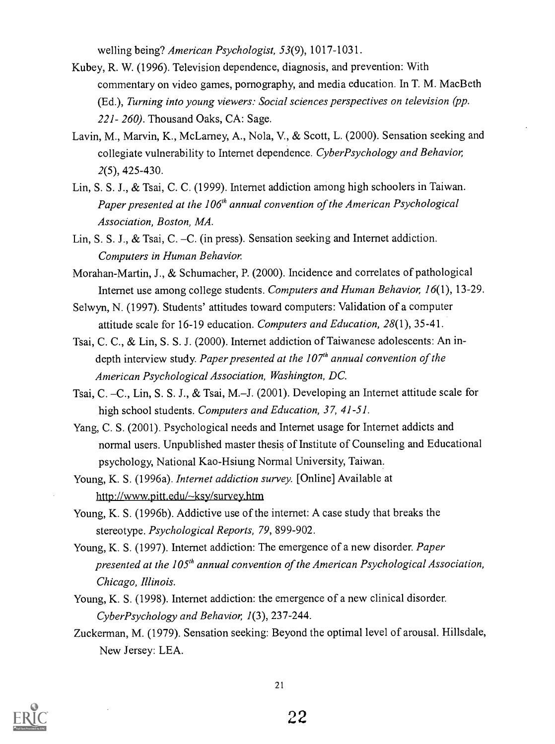welling being? American Psychologist, 53(9), 1017-1031.

- Kubey, R. W. (1996). Television dependence, diagnosis, and prevention: With commentary on video games, pornography, and media education. In T. M. Mac Beth (Ed.), Turning into young viewers: Social sciences perspectives on television (pp. 221- 260). Thousand Oaks, CA: Sage.
- Lavin, M., Marvin, K., McLarney, A., Nola, V., & Scott, L. (2000). Sensation seeking and collegiate vulnerability to Internet dependence. CyberPsychology and Behavior, 2(5), 425-430.
- Lin, S. S. J., & Tsai, C. C. (1999). Internet addiction among high schoolers in Taiwan. Paper presented at the  $106<sup>th</sup>$  annual convention of the American Psychological Association, Boston, MA.
- Lin, S. S. J., & Tsai, C. -C. (in press). Sensation seeking and Internet addiction. Computers in Human Behavior
- Morahan-Martin, J., & Schumacher, P. (2000). Incidence and correlates of pathological Internet use among college students. Computers and Human Behavior, 16(1), 13-29.
- Selwyn, N. (1997). Students' attitudes toward computers: Validation of a computer attitude scale for 16-19 education. Computers and Education, 28(1), 35-41.
- Tsai, C. C., & Lin, S. S. J. (2000). Internet addiction of Taiwanese adolescents: An indepth interview study. Paper presented at the  $107<sup>th</sup>$  annual convention of the American Psychological Association, Washington, DC.
- Tsai, C. -C., Lin, S. S. J., & Tsai, M.-J. (2001). Developing an Internet attitude scale for high school students. Computers and Education, 37, 41-51.
- Yang, C. S. (2001). Psychological needs and Internet usage for Internet addicts and normal users. Unpublished master thesis of Institute of Counseling and Educational psychology, National Kao-Hsiung Normal University, Taiwan.
- Young, K. S. (1996a). Internet addiction survey. [Online] Available at http://www.pitt.edu/~ksy/survey.htm
- Young, K. S. (1996b). Addictive use of the internet: A case study that breaks the stereotype. Psychological Reports, 79, 899-902.
- Young, K. S. (1997). Internet addiction: The emergence of a new disorder. Paper presented at the  $105<sup>th</sup>$  annual convention of the American Psychological Association, Chicago, Illinois.
- Young, K. S. (1998). Internet addiction: the emergence of a new clinical disorder. CyberPsychology and Behavior, 1(3), 237-244.
- Zuckerman, M. (1979). Sensation seeking: Beyond the optimal level of arousal. Hillsdale, New Jersey: LEA.

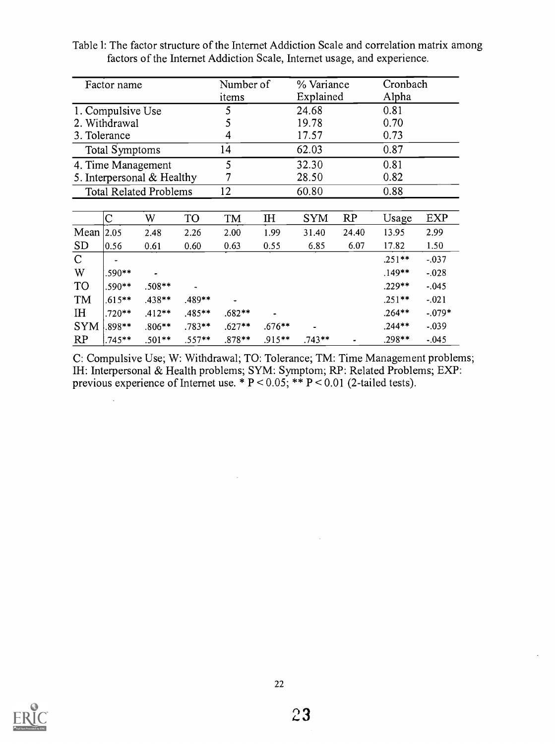|                | Factor name           |                               |           | Number of  |          | % Variance |       | Cronbach  |            |  |
|----------------|-----------------------|-------------------------------|-----------|------------|----------|------------|-------|-----------|------------|--|
|                |                       |                               |           | items      |          | Explained  |       | Alpha     |            |  |
|                | 1. Compulsive Use     |                               |           | 5          |          | 24.68      |       | 0.81      |            |  |
|                | 2. Withdrawal         |                               |           | 5          |          | 19.78      |       | 0.70      |            |  |
|                | 3. Tolerance          |                               |           | 4          |          | 17.57      |       | 0.73      |            |  |
|                | <b>Total Symptoms</b> |                               |           | 14         |          | 62.03      |       | 0.87      |            |  |
|                |                       | 4. Time Management            |           | 5          |          | 32.30      | 0.81  |           |            |  |
|                |                       | 5. Interpersonal & Healthy    |           | 28.50<br>7 |          |            |       | 0.82      |            |  |
|                |                       | <b>Total Related Problems</b> |           | 12         | 60.80    |            |       | 0.88      |            |  |
|                |                       |                               |           |            |          |            |       |           |            |  |
|                | Ċ                     | W                             | TO        | TM         | ΙH       | <b>SYM</b> | RP    | Usage     | <b>EXP</b> |  |
| Mean           | 2.05                  | 2.48                          | 2.26      | 2.00       | 1.99     | 31.40      | 24.40 | 13.95     | 2.99       |  |
| <b>SD</b>      | 0.56                  | 0.61                          | 0.60      | 0.63       | 0.55     | 6.85       | 6.07  | 17.82     | 1.50       |  |
| $\mathbf C$    |                       |                               |           |            |          |            |       | $.251**$  | $-.037$    |  |
| W              | .590**                |                               |           |            |          |            |       | $.149**$  | $-0.028$   |  |
| <b>TO</b>      | .590**                | $.508**$                      |           |            |          |            |       | $.229**$  | $-.045$    |  |
| TM             | $.615**$              | $.438**$                      | .489**    |            |          |            |       | $.251**$  | $-.021$    |  |
| I <sub>H</sub> | $.720**$              | $.412**$                      | $.485***$ | $.682**$   |          |            |       | $.264***$ | $-.079*$   |  |
| <b>SYM</b>     | .898**                | $.806**$                      | $.783**$  | $.627**$   | $.676**$ |            |       | $.244**$  | $-0.039$   |  |
| RP             | .745**                | $.501**$                      | $.557**$  | $.878**$   | .915**   | $.743**$   |       | .298**    | $-.045$    |  |

Table 1: The factor structure of the Internet Addiction Scale and correlation matrix among factors of the Internet Addiction Scale, Internet usage, and experience.

C: Compulsive Use; W: Withdrawal; TO: Tolerance; TM: Time Management problems; IH: Interpersonal & Health problems; SYM: Symptom; RP: Related Problems; EXP: previous experience of Internet use. \* P < 0.05; \*\* P < 0.01 (2-tailed tests).



 $\mathbb{R}^2$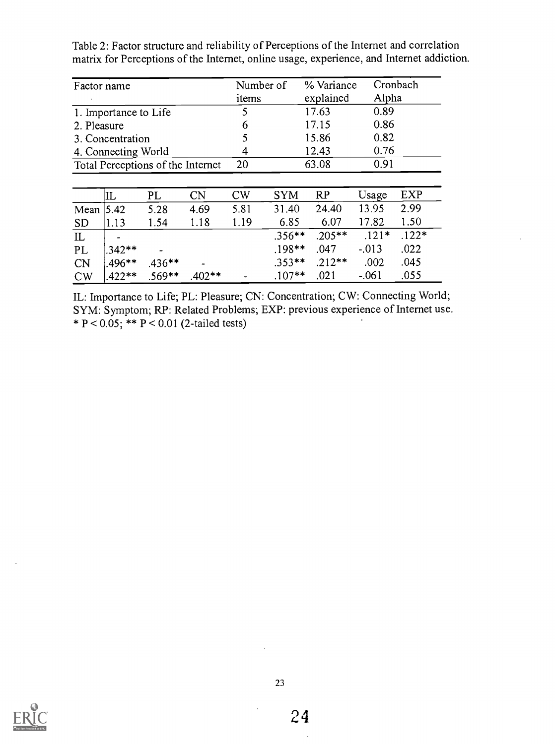| Factor name                       |                       |          |           | Number of<br>items |            | % Variance<br>explained | Alpha   | Cronbach   |  |  |
|-----------------------------------|-----------------------|----------|-----------|--------------------|------------|-------------------------|---------|------------|--|--|
|                                   | 1. Importance to Life |          |           | 5                  |            | 17.63                   | 0.89    |            |  |  |
| 2. Pleasure                       |                       |          |           | 6                  |            | 17.15                   | 0.86    |            |  |  |
|                                   | 3. Concentration      |          |           |                    |            | 15.86                   | 0.82    |            |  |  |
| 4. Connecting World               |                       |          |           | 4                  |            | 12.43                   | 0.76    |            |  |  |
| Total Perceptions of the Internet |                       |          |           | 20                 |            | 63.08                   | 0.91    |            |  |  |
|                                   |                       |          |           |                    |            |                         |         |            |  |  |
|                                   | IL                    | PL       | <b>CN</b> | CW                 | <b>SYM</b> | RP                      | Usage   | <b>EXP</b> |  |  |
| Mean                              | 5.42                  | 5.28     | 4.69      | 5.81               | 31.40      | 24.40                   | 13.95   | 2.99       |  |  |
| <b>SD</b>                         | 1.13                  | 1.54     | 1.18      | 1.19               | 6.85       | 6.07                    | 17.82   | 1.50       |  |  |
| IL                                |                       |          |           |                    | $.356***$  | $.205***$               | $.121*$ | $.122*$    |  |  |
| PL                                | $.342**$              |          |           |                    | .198**     | .047                    | $-.013$ | .022       |  |  |
| CN                                | $.496**$              | $.436**$ |           |                    | $.353**$   | $.212**$                | .002    | .045       |  |  |
| CW                                | $.422**$              | $.569**$ | $.402**$  |                    | $.107**$   | .021                    | $-.061$ | .055       |  |  |

Table 2: Factor structure and reliability of Perceptions of the Internet and correlation matrix for Perceptions of the Internet, online usage, experience, and Internet addiction.

IL: Importance to Life; PL: Pleasure; CN: Concentration; CW: Connecting World; SYM: Symptom; RP: Related Problems; EXP: previous experience of Internet use. \*  $P < 0.05$ ; \*\*  $P < 0.01$  (2-tailed tests)

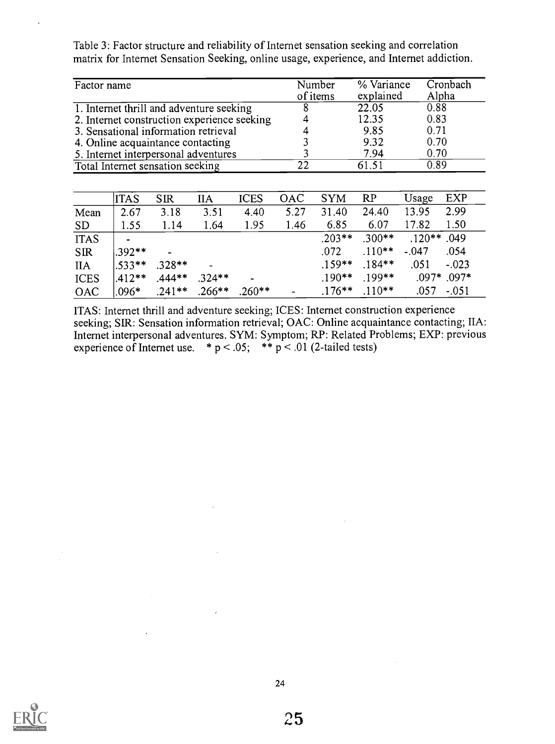Table 3: Factor structure and reliability of Internet sensation seeking and correlation matrix for Internet Sensation Seeking, online usage, experience, and Internet addiction.

| Factor name                                 | Number<br>of items | % Variance<br>explained | Cronbach<br>Alpha |
|---------------------------------------------|--------------------|-------------------------|-------------------|
| 1. Internet thrill and adventure seeking    |                    | 22.05                   | 0.88              |
| 2. Internet construction experience seeking |                    | 12.35                   | 0.83              |
| 3. Sensational information retrieval        |                    | 9.85                    | 0.71              |
| 4. Online acquaintance contacting           |                    | 9.32                    | 0.70              |
| 5. Internet interpersonal adventures        |                    | 7.94                    | 0.70              |
| Total Internet sensation seeking            | 22                 | 61.51                   | 0.89              |

|             | <b>ITAS</b> | <b>SIR</b> | <b>IIA</b>    | <b>ICES</b> | <b>OAC</b> | <b>SYM</b> | RP        | Usage         | EXP     |
|-------------|-------------|------------|---------------|-------------|------------|------------|-----------|---------------|---------|
| Mean        | 2.67        | 3.18       | 3.51          | 4.40        | 5.27       | 31.40      | 24.40     | 13.95         | 2.99    |
| <b>SD</b>   | 1.55        | 1.14       | 1.64          | 1.95        | 1.46       | 6.85       | 6.07      | 17.82         | 1.50    |
| <b>ITAS</b> |             |            |               |             |            | $.203**$   | $.300**$  | $.120**$ .049 |         |
| <b>SIR</b>  | $1.392**$   |            |               |             |            | .072       | $.110***$ | $-.047$       | .054    |
| <b>IIA</b>  | $.533**$    | $.328**$   | $\rightarrow$ |             |            | $.159**$   | $.184***$ | .051          | $-.023$ |
| <b>ICES</b> | $1.412**$   | $.444**$   | $.324**$      |             |            | $.190**$   | $.199***$ | $.097*$ .097* |         |
| <b>OAC</b>  | $.096*$     | $.241**$   | $.266***$     | $.260***$   |            | $.176***$  | $.110**$  | .057          | $-.051$ |

ITAS: Internet thrill and adventure seeking; ICES: Internet construction experience seeking; SIR: Sensation information retrieval; OAC: Online acquaintance contacting; IIA: Internet interpersonal adventures. SYM: Symptom; RP: Related Problems; EXP: previous experience of Internet use.  $* p < .05$ ;  $* p < .01$  (2-tailed tests)

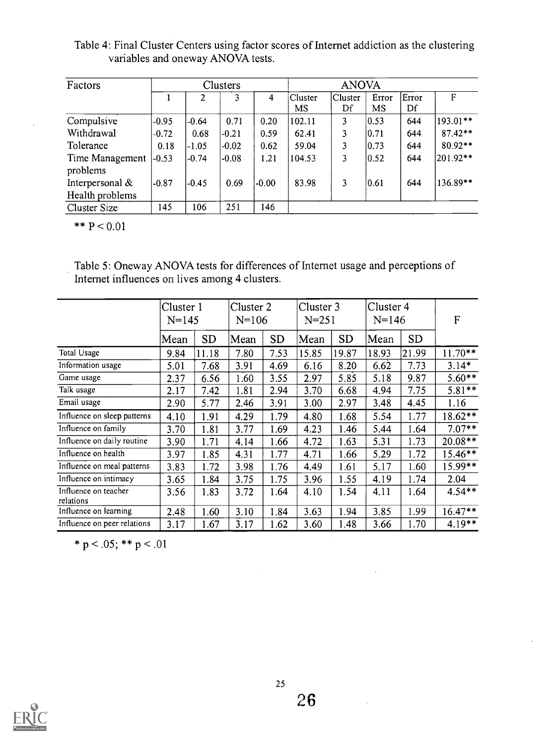Table 4: Final Cluster Centers using factor scores of Internet addiction as the clustering variables and oneway ANOVA tests.

| Factors                     |         |         | Clusters |         |               | <b>ANOVA</b>  |                |             |           |
|-----------------------------|---------|---------|----------|---------|---------------|---------------|----------------|-------------|-----------|
|                             |         |         |          | 4       | Cluster<br>MS | Cluster<br>Df | Error<br>MS    | Error<br>Df | F         |
| Compulsive                  | $-0.95$ | $-0.64$ | 0.71     | 0.20    | 102.11        | 3             | 0.53           | 644         | 193.01**  |
| Withdrawal                  | $-0.72$ | 0.68    | $-0.21$  | 0.59    | 62.41         | 3             | 10.71          | 644         | $87.42**$ |
| Tolerance                   | 0.18    | $-1.05$ | $-0.02$  | 0.62    | 59.04         | 3             | 0.73           | 644         | 80.92**   |
| Time Management<br>problems | $-0.53$ | $-0.74$ | $-0.08$  | 1.21    | 104.53        | 3             | $ 0.52\rangle$ | 644         | 201.92**  |
| Interpersonal $&$           | $-0.87$ | $-0.45$ | 0.69     | $-0.00$ | 83.98         | 3             | 10.61          | 644         | 136.89**  |
| Health problems             |         |         |          |         |               |               |                |             |           |
| Cluster Size                | 145     | 106     | 251      | 146     |               |               |                |             |           |

\*\*  $P < 0.01$ 

Table 5: Oneway ANOVA tests for differences of Internet usage and perceptions of Internet influences on lives among 4 clusters.

|                                   | Cluster 1<br>$N = 145$ |           |      | Cluster 2<br>$N = 106$ |       | Cluster 3<br>$N = 251$ |       | Cluster 4<br>$N = 146$ |           |
|-----------------------------------|------------------------|-----------|------|------------------------|-------|------------------------|-------|------------------------|-----------|
|                                   | Mean                   | <b>SD</b> | Mean | <b>SD</b>              | Mean  | <b>SD</b>              | Mean  | <b>SD</b>              |           |
| Total Usage                       | 9.84                   | 11.18     | 7.80 | 7.53                   | 15.85 | 19.87                  | 18.93 | 21.99                  | $11.70**$ |
| Information usage                 | 5.01                   | 7.68      | 3.91 | 4.69                   | 6.16  | 8.20                   | 6.62  | 7.73                   | $3.14*$   |
| Game usage                        | 2.37                   | 6.56      | 1.60 | 3.55                   | 2.97  | 5.85                   | 5.18  | 9.87                   | $5.60**$  |
| Talk usage                        | 2.17                   | 7.42      | 1.81 | 2.94                   | 3.70  | 6.68                   | 4.94  | 7.75                   | $5.81**$  |
| Email usage                       | 2.90                   | 5.77      | 2.46 | 3.91                   | 3.00  | 2.97                   | 3.48  | 4.45                   | 1.16      |
| Influence on sleep patterns       | 4.10                   | 1.91      | 4.29 | 1.79                   | 4.80  | 1.68                   | 5.54  | 1.77                   | 18.62**   |
| Influence on family               | 3.70                   | 1.81      | 3.77 | 1.69                   | 4.23  | 1.46                   | 5.44  | 1.64                   | $7.07**$  |
| Influence on daily routine        | 3.90                   | 1.71      | 4.14 | 1.66                   | 4.72  | 1.63                   | 5.31  | 1.73                   | $20.08**$ |
| Influence on health               | 3.97                   | 1.85      | 4.31 | 1.77                   | 4.71  | 1.66                   | 5.29  | 1.72                   | $15.46**$ |
| Influence on meal patterns        | 3.83                   | 1.72      | 3.98 | 1.76                   | 4.49  | 1.61                   | 5.17  | 1.60                   | $15.99**$ |
| Influence on intimacy             | 3.65                   | 1.84      | 3.75 | 1.75                   | 3.96  | 1.55                   | 4.19  | 1.74                   | 2.04      |
| Influence on teacher<br>relations | 3.56                   | 1.83      | 3.72 | 1.64                   | 4.10  | 1.54                   | 4.11  | 1.64                   | $4.54**$  |
| Influence on learning             | 2.48                   | 1.60      | 3.10 | 1.84                   | 3.63  | 1.94                   | 3.85  | 1.99                   | $16.47**$ |
| Influence on peer relations       | 3.17                   | 1.67      | 3.17 | 1.62                   | 3.60  | 1.48                   | 3.66  | 1.70                   | $4.19***$ |

\* p < .05; \*\* p < .01

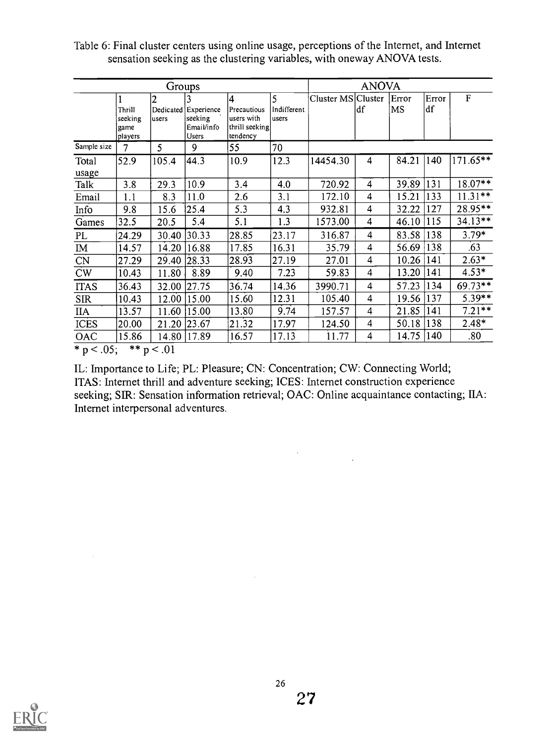|                        |                                      | Groups      |                                                        |                                                               |                                        |                    | <b>ANOVA</b>            |             |             |             |
|------------------------|--------------------------------------|-------------|--------------------------------------------------------|---------------------------------------------------------------|----------------------------------------|--------------------|-------------------------|-------------|-------------|-------------|
|                        | Thrill<br>seeking<br>game<br>players | 2<br>users  | Dedicated Experience<br>seeking<br>Email/info<br>Users | 14<br>Precautious<br>users with<br>thrill seeking<br>tendency | $\overline{5}$<br>Indifferent<br>users | Cluster MS Cluster | df                      | Error<br>MS | Error<br>df | $\mathbf F$ |
| Sample size            | 7                                    | 5           | 9                                                      | 55                                                            | 70                                     |                    |                         |             |             |             |
| Total<br>usage         | 52.9                                 | 105.4       | 44.3                                                   | 10.9                                                          | 12.3                                   | 14454.30           | 4                       | 84.21       | 140         | 171.65**    |
| Talk                   | 3.8                                  | 29.3        | 10.9                                                   | 3.4                                                           | 4.0                                    | 720.92             | 4                       | 39.89       | 131         | 18.07**     |
| Email                  | 1.1                                  | 8.3         | 11.0                                                   | 2.6                                                           | 3.1                                    | 172.10             | 4                       | 15.21       | 133         | $11.31***$  |
| Info                   | 9.8                                  | 15.6        | 25.4                                                   | 5.3                                                           | 4.3                                    | 932.81             | 4                       | 32.22       | 127         | $28.95**$   |
| Games                  | 32.5                                 | 20.5        | 5.4                                                    | 5.1                                                           | 1.3                                    | 1573.00            | 4                       | 46.10       | 115         | $34.13**$   |
| PL                     | 24.29                                | 30.40       | [30.33]                                                | 28.85                                                         | 23.17                                  | 316.87             | 4                       | 83.58       | 138         | $3.79*$     |
| $\mathbf{I}$ M         | 14.57                                | 14.20       | 16.88                                                  | 17.85                                                         | 16.31                                  | 35.79              | 4                       | 56.69       | 138         | .63         |
| $\overline{\text{CN}}$ | 27.29                                | 29.40       | 28.33                                                  | 28.93                                                         | 27.19                                  | 27.01              | 4                       | 10.26       | 141         | $2.63*$     |
| $\overline{\text{CW}}$ | 10.43                                | 11.80       | 8.89                                                   | 9.40                                                          | 7.23                                   | 59.83              | 4                       | 13.20       | 141         | $4.53*$     |
| <b>ITAS</b>            | 36.43                                |             | 32.00 27.75                                            | 36.74                                                         | 14.36                                  | 3990.71            | $\overline{\mathbf{4}}$ | 57.23       | 134         | $69.73**$   |
| <b>SIR</b>             | 10.43                                | 12.00       | 15.00                                                  | 15.60                                                         | 12.31                                  | 105.40             | 4                       | 19.56       | 137         | $5.39**$    |
| <b>IIA</b>             | 13.57                                | 11.60       | 15.00                                                  | 13.80                                                         | 9.74                                   | 157.57             | 4                       | 21.85       | 141         | $7.21**$    |
| <b>ICES</b>            | 20.00                                | 21.20 23.67 |                                                        | 21.32                                                         | 17.97                                  | 124.50             | 4                       | 50.18       | 138         | $2.48*$     |
| OAC                    | 15.86                                | 14.80       | 17.89                                                  | 16.57                                                         | 17.13                                  | 11.77              | 4                       | 14.75       | 140         | $.80\,$     |

Table 6: Final cluster centers using online usage, perceptions of the Internet, and Internet sensation seeking as the clustering variables, with oneway ANOVA tests.

 $p < .05$ ; \*\*  $p < .01$ 

 $\sim$ 

IL: Importance to Life; PL: Pleasure; CN: Concentration; CW: Connecting World; ITAS: Internet thrill and adventure seeking; ICES: Internet construction experience seeking; SIR: Sensation information retrieval; OAC: Online acquaintance contacting; IIA: Internet interpersonal adventures.

 $\label{eq:2.1} \frac{1}{\sqrt{2}}\sum_{i=1}^n\frac{1}{\sqrt{2}}\sum_{i=1}^n\frac{1}{\sqrt{2}}\sum_{i=1}^n\frac{1}{\sqrt{2}}\sum_{i=1}^n\frac{1}{\sqrt{2}}\sum_{i=1}^n\frac{1}{\sqrt{2}}\sum_{i=1}^n\frac{1}{\sqrt{2}}\sum_{i=1}^n\frac{1}{\sqrt{2}}\sum_{i=1}^n\frac{1}{\sqrt{2}}\sum_{i=1}^n\frac{1}{\sqrt{2}}\sum_{i=1}^n\frac{1}{\sqrt{2}}\sum_{i=1}^n\frac$ 



 $\sim 10^7$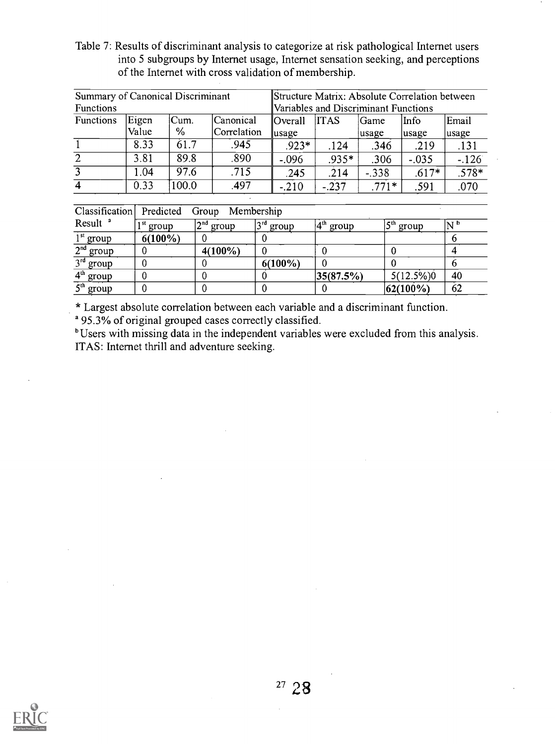Table 7: Results of discriminant analysis to categorize at risk pathological Internet users into 5 subgroups by Internet usage, Internet sensation seeking, and perceptions of the Internet with cross validation of membership.

| Summary of Canonical Discriminant |       |       |             | Structure Matrix: Absolute Correlation between |                                      |         |         |         |  |  |  |
|-----------------------------------|-------|-------|-------------|------------------------------------------------|--------------------------------------|---------|---------|---------|--|--|--|
| <b>Functions</b>                  |       |       |             |                                                | Variables and Discriminant Functions |         |         |         |  |  |  |
| Functions                         | Eigen | Cum.  | Canonical   | Overall                                        | <b>ITAS</b>                          | Game    | Info    | Email   |  |  |  |
|                                   | Value | ℅     | Correlation | $\mu$ sage                                     |                                      | usage   | usage   | usage   |  |  |  |
|                                   | 8.33  | 61.7  | .945        | $.923*$                                        | .124                                 | .346    | .219    | .131    |  |  |  |
| $\overline{2}$                    | 3.81  | 89.8  | .890        | $-.096$                                        | $.935*$                              | .306    | $-.035$ | $-126$  |  |  |  |
| 3                                 | 1.04  | 97.6  | .715        | .245                                           | .214                                 | $-.338$ | $.617*$ | $.578*$ |  |  |  |
| 4                                 | 0.33  | 100.0 | .497        | $-.210$                                        | $-.237$                              | $.771*$ | .591    | .070    |  |  |  |

| Classification        | Predicted             | Group Membership |                     |           |               |                           |
|-----------------------|-----------------------|------------------|---------------------|-----------|---------------|---------------------------|
| Result <sup>a</sup>   | l <sup>st</sup> group | $2nd$ group      | <b>3rd</b><br>group | group     | ∠cth<br>group | $\mathbf{N}^{\mathbf{b}}$ |
| $1st$ group           | $6(100\%)$            |                  |                     |           |               |                           |
| 2 <sup>nd</sup> group |                       | $4(100\%)$       |                     |           |               |                           |
| $3rd$ group           |                       |                  | $6(100\%)$          |           |               |                           |
| $4th$ group           |                       |                  |                     | 35(87.5%) | $5(12.5\%)$   | 40                        |
| $5th$ group           |                       |                  |                     |           | $ 62(100\%)$  | 62                        |

\* Largest absolute correlation between each variable and a discriminant function.

a 95.3% of original grouped cases correctly classified.

<sup>b</sup>Users with missing data in the independent variables were excluded from this analysis. ITAS: Internet thrill and adventure seeking.

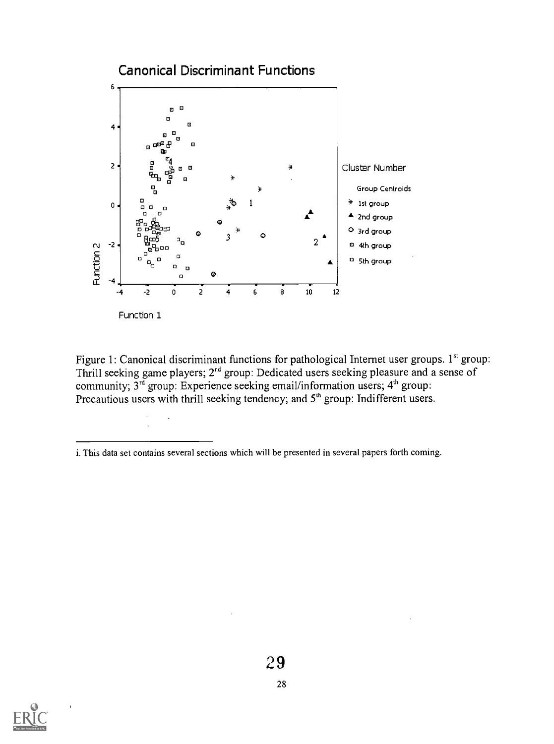

Function 1

Figure 1: Canonical discriminant functions for pathological Internet user groups. 1<sup>st</sup> group: Thrill seeking game players; 2<sup>nd</sup> group: Dedicated users seeking pleasure and a sense of community;  $3^{rd}$  group: Experience seeking email/information users;  $4^{th}$  group: Precautious users with thrill seeking tendency; and 5<sup>th</sup> group: Indifferent users.



i. This data set contains several sections which will be presented in several papers forth coming.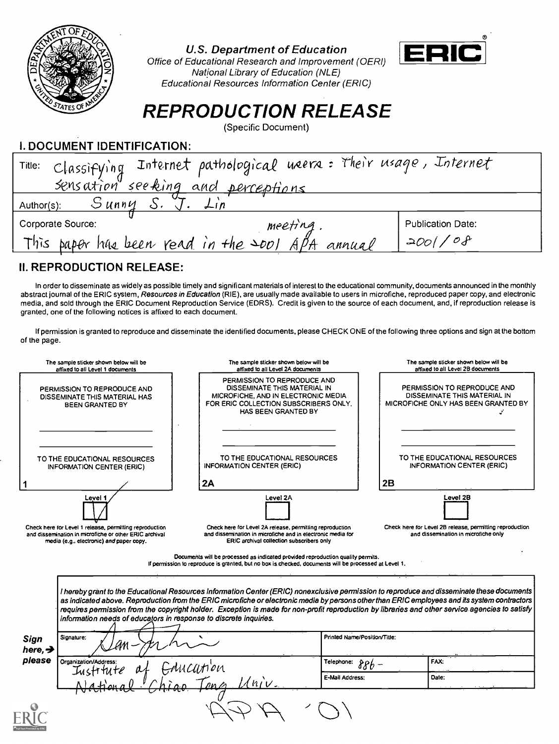

# U.S. Department of Education



Office of Educational Research and Improvement (OERI) National Library of Education (NLE) Educational Resources Information Center (ERIC)

# REPRODUCTION RELEASE

(Specific Document)

I. DOCUMENT IDENTIFICATION:

| Classifying Internet pathological users: Their usage, Internet<br>Title:<br>sensation seeking and perceptions |                          |
|---------------------------------------------------------------------------------------------------------------|--------------------------|
| Sunny<br>Author(s):<br>$\perp$ $n$                                                                            |                          |
| Corporate Source:<br>meeting                                                                                  | <b>Publication Date:</b> |
| This paper has been read in the $\infty$ APA annual                                                           | $'$ 200//08              |

# II. REPRODUCTION RELEASE:

In order to disseminate as widely as possible timely and significant materials of interest to the educational community, documents announced in the monthly abstract journal of the ERIC system, Resources in Education (RIE), are usually made available to users in microfiche, reproduced paper copy, and electronic media, and sold through the ERIC Document Reproduction Service (EDRS). Credit is given to the source of each document, and, if reproduction release is granted, one of the following notices is affixed to each document.

If permission is granted to reproduce and disseminate the identified documents, please CHECK ONE of the following three options and sign at the bottom of the page.

|                               | The sample sticker shown below will be<br>affixed to all Level 1 documents                                                                                    | The sample sticker shown below will be<br>affixed to all Level 2A documents                                                                                                                                                                                                                                                                                                                                                                                                                                         |                              |    | The sample sticker shown below will be<br>affixed to all Level 2B documents                        |
|-------------------------------|---------------------------------------------------------------------------------------------------------------------------------------------------------------|---------------------------------------------------------------------------------------------------------------------------------------------------------------------------------------------------------------------------------------------------------------------------------------------------------------------------------------------------------------------------------------------------------------------------------------------------------------------------------------------------------------------|------------------------------|----|----------------------------------------------------------------------------------------------------|
|                               | PERMISSION TO REPRODUCE AND<br>DISSEMINATE THIS MATERIAL HAS<br><b>BEEN GRANTED BY</b>                                                                        | PERMISSION TO REPRODUCE AND<br>DISSEMINATE THIS MATERIAL IN<br>MICROFICHE, AND IN ELECTRONIC MEDIA<br>FOR ERIC COLLECTION SUBSCRIBERS ONLY.<br>HAS BEEN GRANTED BY                                                                                                                                                                                                                                                                                                                                                  |                              |    | PERMISSION TO REPRODUCE AND<br>DISSEMINATE THIS MATERIAL IN<br>MICROFICHE ONLY HAS BEEN GRANTED BY |
|                               | TO THE EDUCATIONAL RESOURCES<br><b>INFORMATION CENTER (ERIC)</b>                                                                                              | TO THE EDUCATIONAL RESOURCES<br><b>INFORMATION CENTER (ERIC)</b><br>2A                                                                                                                                                                                                                                                                                                                                                                                                                                              |                              | 2B | TO THE EDUCATIONAL RESOURCES<br><b>INFORMATION CENTER (ERIC)</b>                                   |
|                               | Level 1                                                                                                                                                       | Level 2A                                                                                                                                                                                                                                                                                                                                                                                                                                                                                                            |                              |    | Level 2B                                                                                           |
|                               | Check here for Level 1 release, permitting reproduction<br>and dissemination in microfiche or other ERIC archival<br>media (e.g., electronic) and paper copy. | Check here for Level 2A release, permitting reproduction<br>and dissemination in microfiche and in electronic media for<br>ERIC archival collection subscribers only<br>Documents will be processed as indicated provided reproduction quality permits.                                                                                                                                                                                                                                                             |                              |    | Check here for Level 2B release, permitting reproduction<br>and dissemination in microfiche only   |
|                               |                                                                                                                                                               | If permission to reproduce is granted, but no box is checked, documents will be processed at Level 1.                                                                                                                                                                                                                                                                                                                                                                                                               |                              |    |                                                                                                    |
| Signature:<br>Sign            |                                                                                                                                                               | I hereby grant to the Educational Resources Information Center (ERIC) nonexclusive permission to reproduce and disseminate these documents<br>as indicated above. Reproduction from the ERIC microfiche or electronic media by persons other than ERIC employees and its system contractors<br>requires permission from the copyright holder. Exception is made for non-profit reproduction by libraries and other service agencies to satisfy<br>information needs of educators in response to discrete inquiries. | Printed Name/Position/Title: |    |                                                                                                    |
|                               |                                                                                                                                                               |                                                                                                                                                                                                                                                                                                                                                                                                                                                                                                                     |                              |    |                                                                                                    |
|                               | Organization/Address                                                                                                                                          |                                                                                                                                                                                                                                                                                                                                                                                                                                                                                                                     | Telephone:<br>88b –          |    | FAX:                                                                                               |
| here, $\rightarrow$<br>please | Iustrtute                                                                                                                                                     | uccunion<br>$\sqrt{n_{IV}}$                                                                                                                                                                                                                                                                                                                                                                                                                                                                                         | E-Mail Address:              |    | Date:                                                                                              |